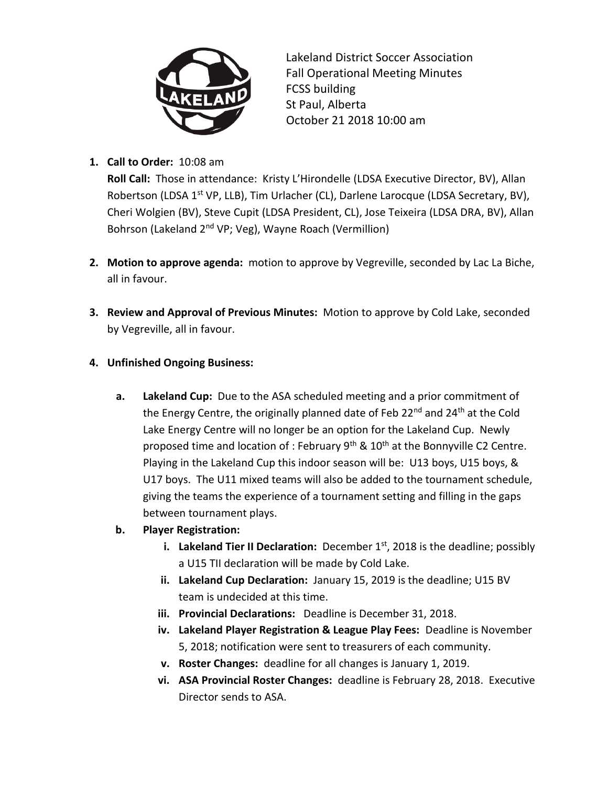

Lakeland District Soccer Association Fall Operational Meeting Minutes FCSS building St Paul, Alberta October 21 2018 10:00 am

**1. Call to Order:** 10:08 am

**Roll Call:** Those in attendance: Kristy L'Hirondelle (LDSA Executive Director, BV), Allan Robertson (LDSA 1<sup>st</sup> VP, LLB), Tim Urlacher (CL), Darlene Larocque (LDSA Secretary, BV), Cheri Wolgien (BV), Steve Cupit (LDSA President, CL), Jose Teixeira (LDSA DRA, BV), Allan Bohrson (Lakeland 2nd VP; Veg), Wayne Roach (Vermillion)

- **2. Motion to approve agenda:** motion to approve by Vegreville, seconded by Lac La Biche, all in favour.
- **3. Review and Approval of Previous Minutes:** Motion to approve by Cold Lake, seconded by Vegreville, all in favour.

## **4. Unfinished Ongoing Business:**

- **a. Lakeland Cup:** Due to the ASA scheduled meeting and a prior commitment of the Energy Centre, the originally planned date of Feb  $22^{nd}$  and  $24^{th}$  at the Cold Lake Energy Centre will no longer be an option for the Lakeland Cup. Newly proposed time and location of : February  $9<sup>th</sup>$  &  $10<sup>th</sup>$  at the Bonnyville C2 Centre. Playing in the Lakeland Cup this indoor season will be: U13 boys, U15 boys, & U17 boys. The U11 mixed teams will also be added to the tournament schedule, giving the teams the experience of a tournament setting and filling in the gaps between tournament plays.
- **b. Player Registration:**
	- **i.** Lakeland Tier II Declaration: December  $1^{st}$ , 2018 is the deadline; possibly a U15 TII declaration will be made by Cold Lake.
	- **ii. Lakeland Cup Declaration:** January 15, 2019 is the deadline; U15 BV team is undecided at this time.
	- **iii. Provincial Declarations:** Deadline is December 31, 2018.
	- **iv. Lakeland Player Registration & League Play Fees:** Deadline is November 5, 2018; notification were sent to treasurers of each community.
	- **v. Roster Changes:** deadline for all changes is January 1, 2019.
	- **vi. ASA Provincial Roster Changes:** deadline is February 28, 2018. Executive Director sends to ASA.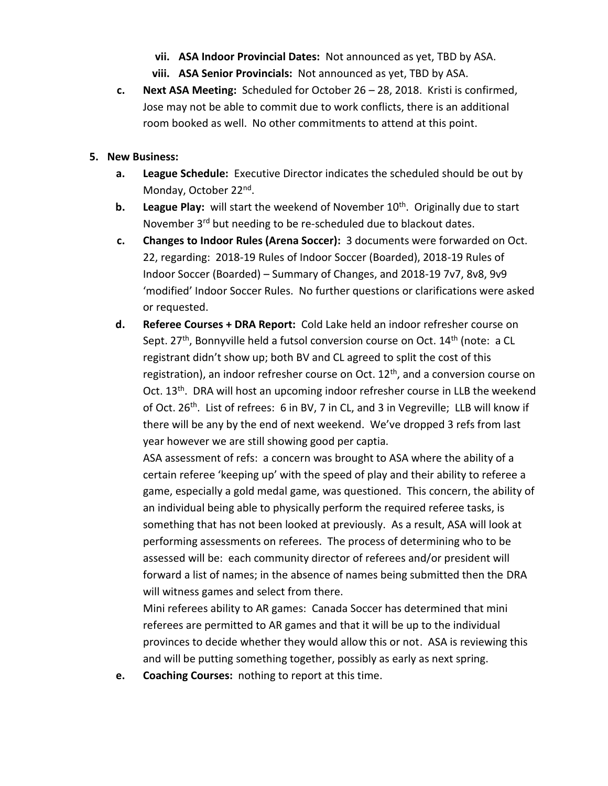- **vii. ASA Indoor Provincial Dates:** Not announced as yet, TBD by ASA.
- **viii. ASA Senior Provincials:** Not announced as yet, TBD by ASA.
- **c. Next ASA Meeting:** Scheduled for October 26 28, 2018. Kristi is confirmed, Jose may not be able to commit due to work conflicts, there is an additional room booked as well. No other commitments to attend at this point.

## **5. New Business:**

- **a. League Schedule:** Executive Director indicates the scheduled should be out by Monday, October 22<sup>nd</sup>.
- **b.** League Play: will start the weekend of November 10<sup>th</sup>. Originally due to start November 3<sup>rd</sup> but needing to be re-scheduled due to blackout dates.
- **c. Changes to Indoor Rules (Arena Soccer):** 3 documents were forwarded on Oct. 22, regarding: 2018-19 Rules of Indoor Soccer (Boarded), 2018-19 Rules of Indoor Soccer (Boarded) – Summary of Changes, and 2018-19 7v7, 8v8, 9v9 'modified' Indoor Soccer Rules. No further questions or clarifications were asked or requested.
- **d. Referee Courses + DRA Report:** Cold Lake held an indoor refresher course on Sept. 27<sup>th</sup>, Bonnyville held a futsol conversion course on Oct. 14<sup>th</sup> (note: a CL registrant didn't show up; both BV and CL agreed to split the cost of this registration), an indoor refresher course on Oct.  $12<sup>th</sup>$ , and a conversion course on Oct. 13<sup>th</sup>. DRA will host an upcoming indoor refresher course in LLB the weekend of Oct.  $26^{th}$ . List of refrees: 6 in BV, 7 in CL, and 3 in Vegreville; LLB will know if there will be any by the end of next weekend. We've dropped 3 refs from last year however we are still showing good per captia.

ASA assessment of refs: a concern was brought to ASA where the ability of a certain referee 'keeping up' with the speed of play and their ability to referee a game, especially a gold medal game, was questioned. This concern, the ability of an individual being able to physically perform the required referee tasks, is something that has not been looked at previously. As a result, ASA will look at performing assessments on referees. The process of determining who to be assessed will be: each community director of referees and/or president will forward a list of names; in the absence of names being submitted then the DRA will witness games and select from there.

Mini referees ability to AR games: Canada Soccer has determined that mini referees are permitted to AR games and that it will be up to the individual provinces to decide whether they would allow this or not. ASA is reviewing this and will be putting something together, possibly as early as next spring.

**e. Coaching Courses:** nothing to report at this time.